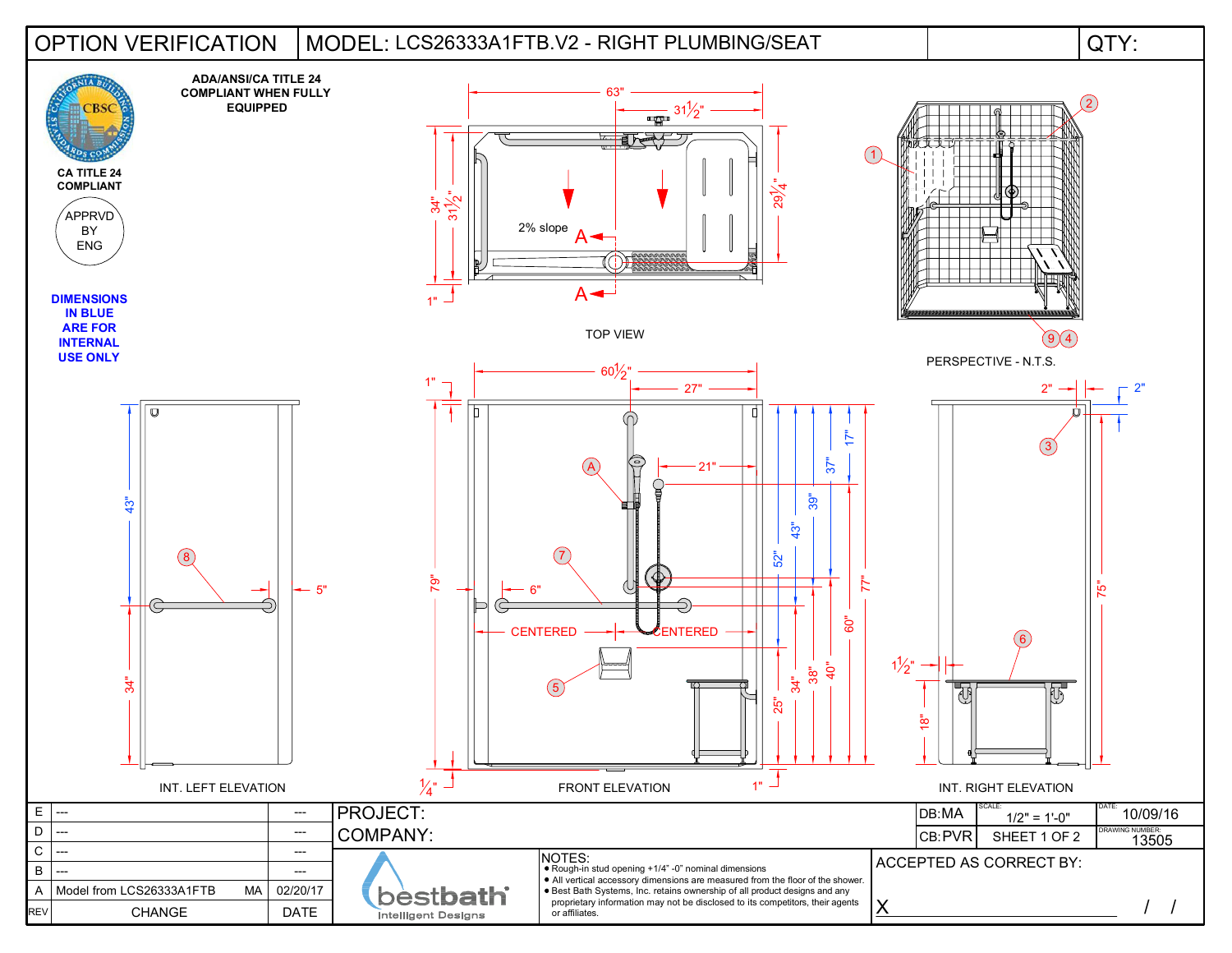## OPTION VERIFICATION | MODEL: LCS26333A1FTB.V2 - RIGHT PLUMBING/SEAT | QTY: